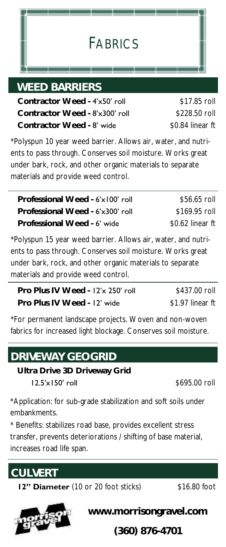# FABRICS

#### *WEED BARRIERS*

 **Contractor Weed -** 4'x50' roll  **Contractor Weed -** 8'x300' roll  **Contractor Weed -** 8' wide

\$17.85 roll \$228.50 roll \$0.84 linear ft

\*Polyspun 10 year weed barrier. Allows air, water, and nutrients to pass through. Conserves soil moisture. Works great under bark, rock, and other organic materials to separate materials and provide weed control.

| Professional Weed - 6'x100' roll | \$56.65 roll      |
|----------------------------------|-------------------|
| Professional Weed - 6'x300' roll | \$169.95 roll     |
| Professional Weed - 6' wide      | $$0.62$ linear ft |

\*Polyspun 15 year weed barrier. Allows air, water, and nutrients to pass through. Conserves soil moisture. Works great under bark, rock, and other organic materials to separate materials and provide weed control.

| Pro Plus IV Weed - 12'x 250' roll | \$437.00 roll    |
|-----------------------------------|------------------|
| Pro Plus IV Weed - 12' wide       | \$1.97 linear ft |

\*For permanent landscape projects. Woven and non-woven fabrics for increased light blockage. Conserves soil moisture.

# *DRIVEWAY GEOGRID*

 **Ultra Drive 3D Driveway Grid**

**12.5'x150' roll** \$695.00 roll

\*Application: for sub-grade stabilization and soft soils under embankments.

\* Benefits: stabilizes road base, provides excellent stress transfer, prevents deteriorations / shifting of base material, increases road life span.



**12" Diameter** (10 or 20 foot sticks) \$16.80 foot



**www.morrisongravel.com**

**(360) 876-4701**